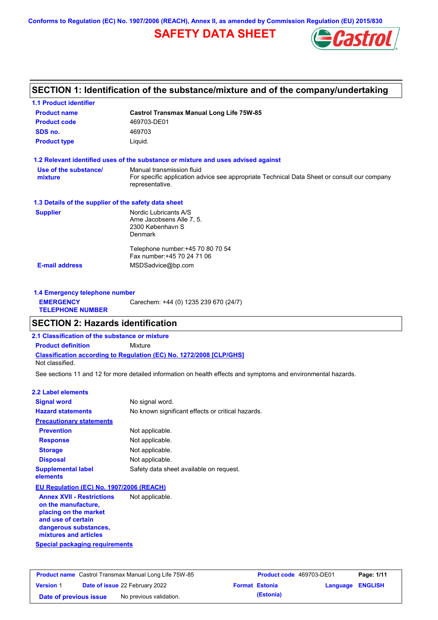**Conforms to Regulation (EC) No. 1907/2006 (REACH), Annex II, as amended by Commission Regulation (EU) 2015/830**

## **SAFETY DATA SHEET**



### **SECTION 1: Identification of the substance/mixture and of the company/undertaking**

| <b>1.1 Product identifier</b>                        |                                                                                                                |
|------------------------------------------------------|----------------------------------------------------------------------------------------------------------------|
| <b>Product name</b>                                  | <b>Castrol Transmax Manual Long Life 75W-85</b>                                                                |
| <b>Product code</b>                                  | 469703-DE01                                                                                                    |
| SDS no.                                              | 469703                                                                                                         |
| <b>Product type</b>                                  | Liquid.                                                                                                        |
|                                                      | 1.2 Relevant identified uses of the substance or mixture and uses advised against                              |
| Use of the substance/                                | Manual transmission fluid                                                                                      |
| mixture                                              | For specific application advice see appropriate Technical Data Sheet or consult our company<br>representative. |
| 1.3 Details of the supplier of the safety data sheet |                                                                                                                |
| <b>Supplier</b>                                      | Nordic Lubricants A/S                                                                                          |
|                                                      | Arne Jacobsens Alle 7, 5.                                                                                      |
|                                                      | 2300 København S                                                                                               |
|                                                      | Denmark                                                                                                        |
|                                                      | Telephone number: +45 70 80 70 54                                                                              |
|                                                      | Fax number: +45 70 24 71 06                                                                                    |
| <b>E-mail address</b>                                | MSDSadvice@bp.com                                                                                              |

| 1.4 Emergency telephone number              |                                       |  |
|---------------------------------------------|---------------------------------------|--|
| <b>EMERGENCY</b><br><b>TELEPHONE NUMBER</b> | Carechem: +44 (0) 1235 239 670 (24/7) |  |

### **SECTION 2: Hazards identification**

**2.1 Classification of the substance or mixture**

**Classification according to Regulation (EC) No. 1272/2008 [CLP/GHS] Product definition** Mixture

Not classified.

See sections 11 and 12 for more detailed information on health effects and symptoms and environmental hazards.

#### **2.2 Label elements**

| <b>Signal word</b>                                      | No signal word.                                   |
|---------------------------------------------------------|---------------------------------------------------|
| <b>Hazard statements</b>                                | No known significant effects or critical hazards. |
| <b>Precautionary statements</b>                         |                                                   |
| <b>Prevention</b>                                       | Not applicable.                                   |
| <b>Response</b>                                         | Not applicable.                                   |
| <b>Storage</b>                                          | Not applicable.                                   |
| <b>Disposal</b>                                         | Not applicable.                                   |
| <b>Supplemental label</b><br>elements                   | Safety data sheet available on request.           |
| EU Regulation (EC) No. 1907/2006 (REACH)                |                                                   |
| <b>Annex XVII - Restrictions</b><br>on the manufacture. | Not applicable.                                   |

**Special packaging requirements on the manufacture, placing on the market and use of certain dangerous substances, mixtures and articles**

| <b>Product name</b> Castrol Transmax Manual Long Life 75W-85 |  | <b>Product code</b> 469703-DE01       |  | Page: 1/11            |                         |  |
|--------------------------------------------------------------|--|---------------------------------------|--|-----------------------|-------------------------|--|
| <b>Version 1</b>                                             |  | <b>Date of issue 22 February 2022</b> |  | <b>Format Estonia</b> | <b>Language ENGLISH</b> |  |
| Date of previous issue                                       |  | No previous validation.               |  | (Estonia)             |                         |  |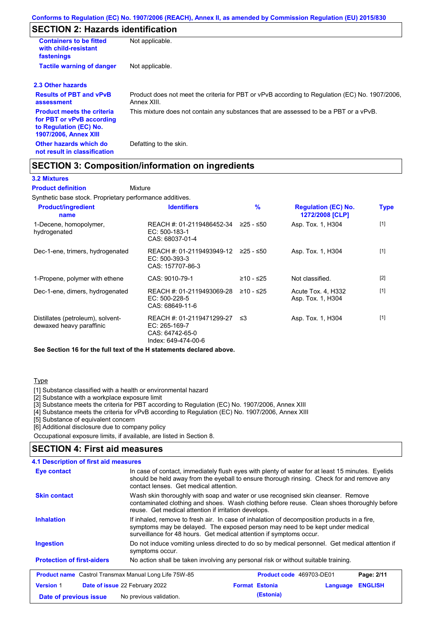## **SECTION 2: Hazards identification**

| <b>Containers to be fitted</b><br>with child-resistant<br>fastenings                                                     | Not applicable.                                                                                               |
|--------------------------------------------------------------------------------------------------------------------------|---------------------------------------------------------------------------------------------------------------|
| <b>Tactile warning of danger</b>                                                                                         | Not applicable.                                                                                               |
| 2.3 Other hazards                                                                                                        |                                                                                                               |
| <b>Results of PBT and vPvB</b><br>assessment                                                                             | Product does not meet the criteria for PBT or vPvB according to Regulation (EC) No. 1907/2006,<br>Annex XIII. |
| <b>Product meets the criteria</b><br>for PBT or vPvB according<br>to Regulation (EC) No.<br><b>1907/2006, Annex XIII</b> | This mixture does not contain any substances that are assessed to be a PBT or a vPvB.                         |
| Other hazards which do<br>not result in classification                                                                   | Defatting to the skin.                                                                                        |

### **SECTION 3: Composition/information on ingredients**

Mixture

#### **3.2 Mixtures**

**Product definition**

Synthetic base stock. Proprietary performance additives.

| <b>Product/ingredient</b><br>name                             | <b>Identifiers</b>                                                                   | $\frac{9}{6}$ | <b>Regulation (EC) No.</b><br>1272/2008 [CLP] | <b>Type</b> |
|---------------------------------------------------------------|--------------------------------------------------------------------------------------|---------------|-----------------------------------------------|-------------|
| 1-Decene, homopolymer,<br>hydrogenated                        | REACH #: 01-2119486452-34<br>$EC: 500-183-1$<br>CAS: 68037-01-4                      | ≥25 - ≤50     | Asp. Tox. 1, H304                             | $[1]$       |
| Dec-1-ene, trimers, hydrogenated                              | REACH #: 01-2119493949-12<br>$EC: 500-393-3$<br>CAS: 157707-86-3                     | ≥25 - ≤50     | Asp. Tox. 1, H304                             | $[1]$       |
| 1-Propene, polymer with ethene                                | CAS: 9010-79-1                                                                       | ≥10 - ≤25     | Not classified.                               | $[2]$       |
| Dec-1-ene, dimers, hydrogenated                               | REACH #: 01-2119493069-28<br>$EC: 500-228-5$<br>CAS: 68649-11-6                      | ≥10 - ≤25     | Acute Tox. 4, H332<br>Asp. Tox. 1, H304       | $[1]$       |
| Distillates (petroleum), solvent-<br>dewaxed heavy paraffinic | REACH #: 01-2119471299-27<br>EC: 265-169-7<br>CAS: 64742-65-0<br>Index: 649-474-00-6 | - ≤3          | Asp. Tox. 1, H304                             | $[1]$       |

**See Section 16 for the full text of the H statements declared above.**

#### **Type**

[1] Substance classified with a health or environmental hazard

[2] Substance with a workplace exposure limit

[3] Substance meets the criteria for PBT according to Regulation (EC) No. 1907/2006, Annex XIII

[4] Substance meets the criteria for vPvB according to Regulation (EC) No. 1907/2006, Annex XIII

[5] Substance of equivalent concern

[6] Additional disclosure due to company policy

Occupational exposure limits, if available, are listed in Section 8.

### **SECTION 4: First aid measures**

**4.1 Description of first aid measures**

|                                                              |                                                                                                                                                                                                                                                     | (Estonia)                       |          |                |
|--------------------------------------------------------------|-----------------------------------------------------------------------------------------------------------------------------------------------------------------------------------------------------------------------------------------------------|---------------------------------|----------|----------------|
| <b>Version 1</b>                                             | Date of issue 22 February 2022                                                                                                                                                                                                                      | <b>Format Estonia</b>           | Language | <b>ENGLISH</b> |
| <b>Product name</b> Castrol Transmax Manual Long Life 75W-85 |                                                                                                                                                                                                                                                     | <b>Product code</b> 469703-DE01 |          | Page: 2/11     |
| <b>Protection of first-aiders</b>                            | No action shall be taken involving any personal risk or without suitable training.                                                                                                                                                                  |                                 |          |                |
| Ingestion                                                    | Do not induce vomiting unless directed to do so by medical personnel. Get medical attention if<br>symptoms occur.                                                                                                                                   |                                 |          |                |
| <b>Inhalation</b>                                            | If inhaled, remove to fresh air. In case of inhalation of decomposition products in a fire,<br>symptoms may be delayed. The exposed person may need to be kept under medical<br>surveillance for 48 hours. Get medical attention if symptoms occur. |                                 |          |                |
| <b>Skin contact</b>                                          | Wash skin thoroughly with soap and water or use recognised skin cleanser. Remove<br>contaminated clothing and shoes. Wash clothing before reuse. Clean shoes thoroughly before<br>reuse. Get medical attention if irritation develops.              |                                 |          |                |
| Eye contact                                                  | In case of contact, immediately flush eyes with plenty of water for at least 15 minutes. Eyelids<br>should be held away from the eyeball to ensure thorough rinsing. Check for and remove any<br>contact lenses. Get medical attention.             |                                 |          |                |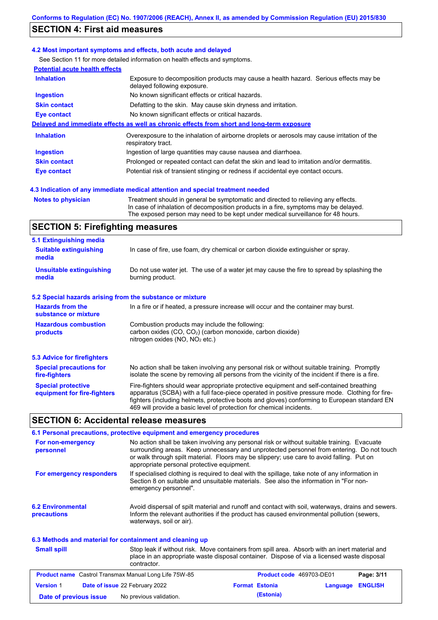### **SECTION 4: First aid measures**

#### **4.2 Most important symptoms and effects, both acute and delayed**

See Section 11 for more detailed information on health effects and symptoms.

| <b>Potential acute health effects</b> |                                                                                                                     |
|---------------------------------------|---------------------------------------------------------------------------------------------------------------------|
| <b>Inhalation</b>                     | Exposure to decomposition products may cause a health hazard. Serious effects may be<br>delayed following exposure. |
| <b>Ingestion</b>                      | No known significant effects or critical hazards.                                                                   |
| <b>Skin contact</b>                   | Defatting to the skin. May cause skin dryness and irritation.                                                       |
| Eye contact                           | No known significant effects or critical hazards.                                                                   |
|                                       | Delayed and immediate effects as well as chronic effects from short and long-term exposure                          |
| <b>Inhalation</b>                     | Overexposure to the inhalation of airborne droplets or aerosols may cause irritation of the<br>respiratory tract.   |
| <b>Ingestion</b>                      | Ingestion of large quantities may cause nausea and diarrhoea.                                                       |
| <b>Skin contact</b>                   | Prolonged or repeated contact can defat the skin and lead to irritation and/or dermatitis.                          |
| Eye contact                           | Potential risk of transient stinging or redness if accidental eye contact occurs.                                   |
|                                       |                                                                                                                     |

#### **4.3 Indication of any immediate medical attention and special treatment needed**

```
Notes to physician Treatment should in general be symptomatic and directed to relieving any effects.
                   In case of inhalation of decomposition products in a fire, symptoms may be delayed.
                   The exposed person may need to be kept under medical surveillance for 48 hours.
```
### **SECTION 5: Firefighting measures**

| 5.1 Extinguishing media                                   |                                                                                                                                                                                                                                                                                                                                                                   |
|-----------------------------------------------------------|-------------------------------------------------------------------------------------------------------------------------------------------------------------------------------------------------------------------------------------------------------------------------------------------------------------------------------------------------------------------|
| <b>Suitable extinguishing</b><br>media                    | In case of fire, use foam, dry chemical or carbon dioxide extinguisher or spray.                                                                                                                                                                                                                                                                                  |
| <b>Unsuitable extinguishing</b><br>media                  | Do not use water jet. The use of a water jet may cause the fire to spread by splashing the<br>burning product.                                                                                                                                                                                                                                                    |
| 5.2 Special hazards arising from the substance or mixture |                                                                                                                                                                                                                                                                                                                                                                   |
| <b>Hazards from the</b><br>substance or mixture           | In a fire or if heated, a pressure increase will occur and the container may burst.                                                                                                                                                                                                                                                                               |
| <b>Hazardous combustion</b><br>products                   | Combustion products may include the following:<br>carbon oxides $(CO, CO2)$ (carbon monoxide, carbon dioxide)<br>nitrogen oxides ( $NO$ , $NO2$ etc.)                                                                                                                                                                                                             |
| 5.3 Advice for firefighters                               |                                                                                                                                                                                                                                                                                                                                                                   |
| <b>Special precautions for</b><br>fire-fighters           | No action shall be taken involving any personal risk or without suitable training. Promptly<br>isolate the scene by removing all persons from the vicinity of the incident if there is a fire.                                                                                                                                                                    |
| <b>Special protective</b><br>equipment for fire-fighters  | Fire-fighters should wear appropriate protective equipment and self-contained breathing<br>apparatus (SCBA) with a full face-piece operated in positive pressure mode. Clothing for fire-<br>fighters (including helmets, protective boots and gloves) conforming to European standard EN<br>469 will provide a basic level of protection for chemical incidents. |

#### **SECTION 6: Accidental release measures**

|                                                                          | 6.1 Personal precautions, protective equipment and emergency procedures                                                                                                                                                                                                                                                             |
|--------------------------------------------------------------------------|-------------------------------------------------------------------------------------------------------------------------------------------------------------------------------------------------------------------------------------------------------------------------------------------------------------------------------------|
| For non-emergency<br>personnel                                           | No action shall be taken involving any personal risk or without suitable training. Evacuate<br>surrounding areas. Keep unnecessary and unprotected personnel from entering. Do not touch<br>or walk through spilt material. Floors may be slippery; use care to avoid falling. Put on<br>appropriate personal protective equipment. |
| For emergency responders                                                 | If specialised clothing is required to deal with the spillage, take note of any information in<br>Section 8 on suitable and unsuitable materials. See also the information in "For non-<br>emergency personnel".                                                                                                                    |
| <b>6.2 Environmental</b><br>precautions                                  | Avoid dispersal of spilt material and runoff and contact with soil, waterways, drains and sewers.<br>Inform the relevant authorities if the product has caused environmental pollution (sewers,<br>waterways, soil or air).                                                                                                         |
| .C.O. Mathematic and motivated for contributions of one of algorithm the |                                                                                                                                                                                                                                                                                                                                     |

#### Stop leak if without risk. Move containers from spill area. Absorb with an inert material and place in an appropriate waste disposal container. Dispose of via a licensed waste disposal contractor. **Small spill 6.3 Methods and material for containment and cleaning up Product name** Castrol Transmax Manual Long Life 75W-85 **Product code** 469703-DE01 **Page: 3/11 Version** 1 **Date of issue** 22 February 2022 **Format Estonia Language ENGLISH Date of previous issue** No previous validation. **(Estonia)**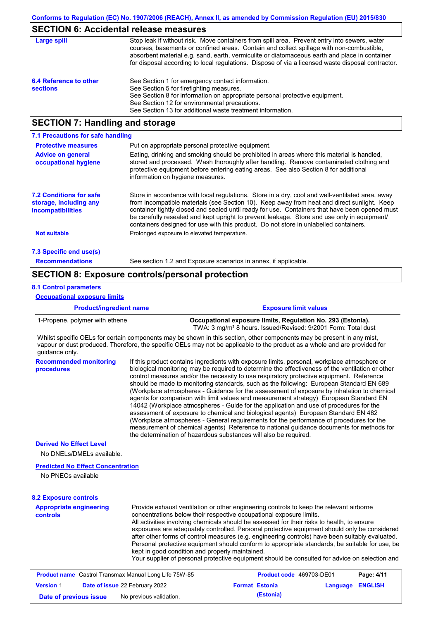### **SECTION 6: Accidental release measures**

| Large spill            | Stop leak if without risk. Move containers from spill area. Prevent entry into sewers, water<br>courses, basements or confined areas. Contain and collect spillage with non-combustible,<br>absorbent material e.g. sand, earth, vermiculite or diatomaceous earth and place in container<br>for disposal according to local regulations. Dispose of via a licensed waste disposal contractor. |
|------------------------|------------------------------------------------------------------------------------------------------------------------------------------------------------------------------------------------------------------------------------------------------------------------------------------------------------------------------------------------------------------------------------------------|
| 6.4 Reference to other | See Section 1 for emergency contact information.                                                                                                                                                                                                                                                                                                                                               |
| <b>sections</b>        | See Section 5 for firefighting measures.                                                                                                                                                                                                                                                                                                                                                       |
|                        | See Section 8 for information on appropriate personal protective equipment.                                                                                                                                                                                                                                                                                                                    |
|                        | See Section 12 for environmental precautions.                                                                                                                                                                                                                                                                                                                                                  |
|                        | See Section 13 for additional waste treatment information.                                                                                                                                                                                                                                                                                                                                     |
|                        |                                                                                                                                                                                                                                                                                                                                                                                                |

### **SECTION 7: Handling and storage**

| 7.1 Precautions for safe handling                                             |                                                                                                                                                                                                                                                                                                                                                                                                                                                                                          |
|-------------------------------------------------------------------------------|------------------------------------------------------------------------------------------------------------------------------------------------------------------------------------------------------------------------------------------------------------------------------------------------------------------------------------------------------------------------------------------------------------------------------------------------------------------------------------------|
| <b>Protective measures</b>                                                    | Put on appropriate personal protective equipment.                                                                                                                                                                                                                                                                                                                                                                                                                                        |
| <b>Advice on general</b><br>occupational hygiene                              | Eating, drinking and smoking should be prohibited in areas where this material is handled,<br>stored and processed. Wash thoroughly after handling. Remove contaminated clothing and<br>protective equipment before entering eating areas. See also Section 8 for additional<br>information on hygiene measures.                                                                                                                                                                         |
| <b>7.2 Conditions for safe</b><br>storage, including any<br>incompatibilities | Store in accordance with local requiations. Store in a dry, cool and well-ventilated area, away<br>from incompatible materials (see Section 10). Keep away from heat and direct sunlight. Keep<br>container tightly closed and sealed until ready for use. Containers that have been opened must<br>be carefully resealed and kept upright to prevent leakage. Store and use only in equipment/<br>containers designed for use with this product. Do not store in unlabelled containers. |
| <b>Not suitable</b>                                                           | Prolonged exposure to elevated temperature.                                                                                                                                                                                                                                                                                                                                                                                                                                              |
| 7.3 Specific end use(s)                                                       |                                                                                                                                                                                                                                                                                                                                                                                                                                                                                          |
| <b>Recommendations</b>                                                        | See section 1.2 and Exposure scenarios in annex, if applicable.                                                                                                                                                                                                                                                                                                                                                                                                                          |

### **SECTION 8: Exposure controls/personal protection**

#### **8.1 Control parameters**

#### **Product/ingredient name Exposure limit values Recommended monitoring procedures** If this product contains ingredients with exposure limits, personal, workplace atmosphere or biological monitoring may be required to determine the effectiveness of the ventilation or other control measures and/or the necessity to use respiratory protective equipment. Reference should be made to monitoring standards, such as the following: European Standard EN 689 (Workplace atmospheres - Guidance for the assessment of exposure by inhalation to chemical agents for comparison with limit values and measurement strategy) European Standard EN 14042 (Workplace atmospheres - Guide for the application and use of procedures for the assessment of exposure to chemical and biological agents) European Standard EN 482 (Workplace atmospheres - General requirements for the performance of procedures for the measurement of chemical agents) Reference to national guidance documents for methods for the determination of hazardous substances will also be required. 1-Propene, polymer with ethene **Occupational exposure limits, Regulation No. 293 (Estonia).** TWA: 3 mg/m<sup>3</sup> 8 hours. Issued/Revised: 9/2001 Form: Total dust **Appropriate engineering controls** Provide exhaust ventilation or other engineering controls to keep the relevant airborne concentrations below their respective occupational exposure limits. All activities involving chemicals should be assessed for their risks to health, to ensure **8.2 Exposure controls** No DNELs/DMELs available. **Predicted No Effect Concentration** No PNECs available **Derived No Effect Level** Whilst specific OELs for certain components may be shown in this section, other components may be present in any mist, vapour or dust produced. Therefore, the specific OELs may not be applicable to the product as a whole and are provided for guidance only. **Occupational exposure limits**

exposures are adequately controlled. Personal protective equipment should only be considered after other forms of control measures (e.g. engineering controls) have been suitably evaluated. Personal protective equipment should conform to appropriate standards, be suitable for use, be kept in good condition and properly maintained.

Your supplier of personal protective equipment should be consulted for advice on selection and

|                        | <b>Product name</b> Castrol Transmax Manual Long Life 75W-85 | <b>Product code</b> 469703-DE01 |                         | Page: 4/11 |
|------------------------|--------------------------------------------------------------|---------------------------------|-------------------------|------------|
| <b>Version 1</b>       | <b>Date of issue 22 February 2022</b>                        | <b>Format Estonia</b>           | <b>Language ENGLISH</b> |            |
| Date of previous issue | No previous validation.                                      | (Estonia)                       |                         |            |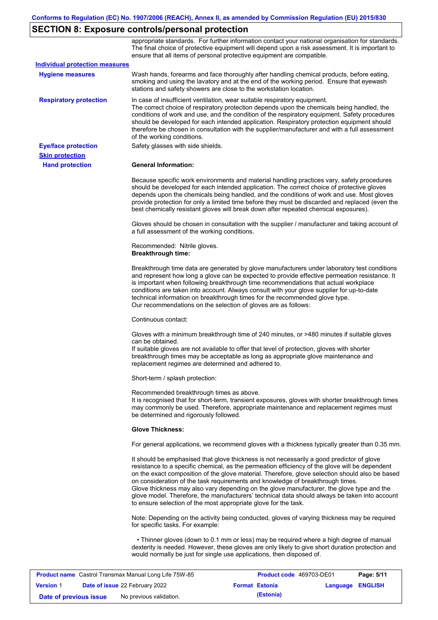# **SECTION 8: Exposure controls/personal protection**

|                                                      | appropriate standards. For further information contact your national organisation for standards.<br>The final choice of protective equipment will depend upon a risk assessment. It is important to<br>ensure that all items of personal protective equipment are compatible.                                                                                                                                                                                                                                                                                                                                                                     |
|------------------------------------------------------|---------------------------------------------------------------------------------------------------------------------------------------------------------------------------------------------------------------------------------------------------------------------------------------------------------------------------------------------------------------------------------------------------------------------------------------------------------------------------------------------------------------------------------------------------------------------------------------------------------------------------------------------------|
| <b>Individual protection measures</b>                |                                                                                                                                                                                                                                                                                                                                                                                                                                                                                                                                                                                                                                                   |
| <b>Hygiene measures</b>                              | Wash hands, forearms and face thoroughly after handling chemical products, before eating,<br>smoking and using the lavatory and at the end of the working period. Ensure that eyewash<br>stations and safety showers are close to the workstation location.                                                                                                                                                                                                                                                                                                                                                                                       |
| <b>Respiratory protection</b>                        | In case of insufficient ventilation, wear suitable respiratory equipment.<br>The correct choice of respiratory protection depends upon the chemicals being handled, the<br>conditions of work and use, and the condition of the respiratory equipment. Safety procedures<br>should be developed for each intended application. Respiratory protection equipment should<br>therefore be chosen in consultation with the supplier/manufacturer and with a full assessment<br>of the working conditions.                                                                                                                                             |
| <b>Eye/face protection</b><br><b>Skin protection</b> | Safety glasses with side shields.                                                                                                                                                                                                                                                                                                                                                                                                                                                                                                                                                                                                                 |
| <b>Hand protection</b>                               | <b>General Information:</b>                                                                                                                                                                                                                                                                                                                                                                                                                                                                                                                                                                                                                       |
|                                                      | Because specific work environments and material handling practices vary, safety procedures<br>should be developed for each intended application. The correct choice of protective gloves<br>depends upon the chemicals being handled, and the conditions of work and use. Most gloves<br>provide protection for only a limited time before they must be discarded and replaced (even the<br>best chemically resistant gloves will break down after repeated chemical exposures).                                                                                                                                                                  |
|                                                      | Gloves should be chosen in consultation with the supplier / manufacturer and taking account of<br>a full assessment of the working conditions.                                                                                                                                                                                                                                                                                                                                                                                                                                                                                                    |
|                                                      | Recommended: Nitrile gloves.<br><b>Breakthrough time:</b>                                                                                                                                                                                                                                                                                                                                                                                                                                                                                                                                                                                         |
|                                                      | Breakthrough time data are generated by glove manufacturers under laboratory test conditions<br>and represent how long a glove can be expected to provide effective permeation resistance. It<br>is important when following breakthrough time recommendations that actual workplace<br>conditions are taken into account. Always consult with your glove supplier for up-to-date<br>technical information on breakthrough times for the recommended glove type.<br>Our recommendations on the selection of gloves are as follows:                                                                                                                |
|                                                      | Continuous contact:                                                                                                                                                                                                                                                                                                                                                                                                                                                                                                                                                                                                                               |
|                                                      | Gloves with a minimum breakthrough time of 240 minutes, or >480 minutes if suitable gloves<br>can be obtained.<br>If suitable gloves are not available to offer that level of protection, gloves with shorter<br>breakthrough times may be acceptable as long as appropriate glove maintenance and<br>replacement regimes are determined and adhered to.                                                                                                                                                                                                                                                                                          |
|                                                      | Short-term / splash protection:                                                                                                                                                                                                                                                                                                                                                                                                                                                                                                                                                                                                                   |
|                                                      | Recommended breakthrough times as above.<br>It is recognised that for short-term, transient exposures, gloves with shorter breakthrough times<br>may commonly be used. Therefore, appropriate maintenance and replacement regimes must<br>be determined and rigorously followed.                                                                                                                                                                                                                                                                                                                                                                  |
|                                                      | <b>Glove Thickness:</b>                                                                                                                                                                                                                                                                                                                                                                                                                                                                                                                                                                                                                           |
|                                                      | For general applications, we recommend gloves with a thickness typically greater than 0.35 mm.                                                                                                                                                                                                                                                                                                                                                                                                                                                                                                                                                    |
|                                                      | It should be emphasised that glove thickness is not necessarily a good predictor of glove<br>resistance to a specific chemical, as the permeation efficiency of the glove will be dependent<br>on the exact composition of the glove material. Therefore, glove selection should also be based<br>on consideration of the task requirements and knowledge of breakthrough times.<br>Glove thickness may also vary depending on the glove manufacturer, the glove type and the<br>glove model. Therefore, the manufacturers' technical data should always be taken into account<br>to ensure selection of the most appropriate glove for the task. |
|                                                      | Note: Depending on the activity being conducted, gloves of varying thickness may be required<br>for specific tasks. For example:                                                                                                                                                                                                                                                                                                                                                                                                                                                                                                                  |
|                                                      | • Thinner gloves (down to 0.1 mm or less) may be required where a high degree of manual<br>dexterity is needed. However, these gloves are only likely to give short duration protection and<br>would normally be just for single use applications, then disposed of.                                                                                                                                                                                                                                                                                                                                                                              |
|                                                      |                                                                                                                                                                                                                                                                                                                                                                                                                                                                                                                                                                                                                                                   |

| <b>Product name</b> Castrol Transmax Manual Long Life 75W-85 |  |                                       | <b>Product code</b> 469703-DE01 |                         | Page: 5/11 |
|--------------------------------------------------------------|--|---------------------------------------|---------------------------------|-------------------------|------------|
| <b>Version 1</b>                                             |  | <b>Date of issue 22 February 2022</b> | <b>Format Estonia</b>           | <b>Language ENGLISH</b> |            |
| Date of previous issue                                       |  | No previous validation.               | (Estonia)                       |                         |            |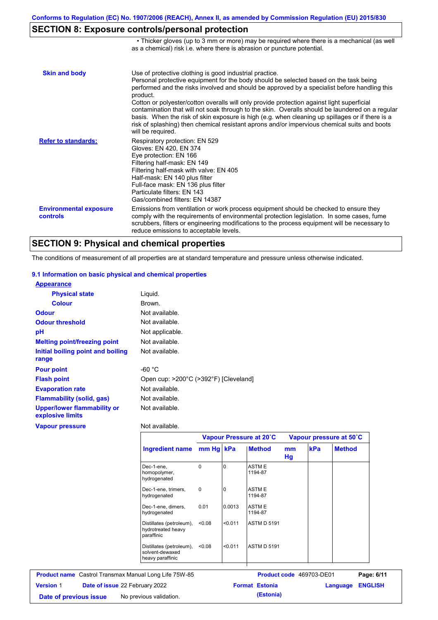• Thicker gloves (up to 3 mm or more) may be required where there is a mechanical (as well

## **SECTION 8: Exposure controls/personal protection**

|                                           | as a chemical) risk i.e. where there is abrasion or puncture potential.                                                                                                                                                                                                                                                                                                                                                                                                                                                                                                                                                                                                               |
|-------------------------------------------|---------------------------------------------------------------------------------------------------------------------------------------------------------------------------------------------------------------------------------------------------------------------------------------------------------------------------------------------------------------------------------------------------------------------------------------------------------------------------------------------------------------------------------------------------------------------------------------------------------------------------------------------------------------------------------------|
| <b>Skin and body</b>                      | Use of protective clothing is good industrial practice.<br>Personal protective equipment for the body should be selected based on the task being<br>performed and the risks involved and should be approved by a specialist before handling this<br>product.<br>Cotton or polyester/cotton overalls will only provide protection against light superficial<br>contamination that will not soak through to the skin. Overalls should be laundered on a regular<br>basis. When the risk of skin exposure is high (e.g. when cleaning up spillages or if there is a<br>risk of splashing) then chemical resistant aprons and/or impervious chemical suits and boots<br>will be required. |
| <b>Refer to standards:</b>                | Respiratory protection: EN 529<br>Gloves: EN 420, EN 374<br>Eye protection: EN 166<br>Filtering half-mask: EN 149<br>Filtering half-mask with valve: EN 405<br>Half-mask: EN 140 plus filter<br>Full-face mask: EN 136 plus filter<br>Particulate filters: EN 143<br>Gas/combined filters: EN 14387                                                                                                                                                                                                                                                                                                                                                                                   |
| <b>Environmental exposure</b><br>controls | Emissions from ventilation or work process equipment should be checked to ensure they<br>comply with the requirements of environmental protection legislation. In some cases, fume<br>scrubbers, filters or engineering modifications to the process equipment will be necessary to<br>reduce emissions to acceptable levels.                                                                                                                                                                                                                                                                                                                                                         |

## **SECTION 9: Physical and chemical properties**

The conditions of measurement of all properties are at standard temperature and pressure unless otherwise indicated.

#### **9.1 Information on basic physical and chemical properties**

| <b>Appearance</b>                                      |                                       |
|--------------------------------------------------------|---------------------------------------|
| <b>Physical state</b>                                  | Liguid.                               |
| <b>Colour</b>                                          | Brown.                                |
| <b>Odour</b>                                           | Not available.                        |
| <b>Odour threshold</b>                                 | Not available.                        |
| рH                                                     | Not applicable.                       |
| <b>Melting point/freezing point</b>                    | Not available.                        |
| Initial boiling point and boiling                      | Not available.                        |
| range                                                  |                                       |
| <b>Pour point</b>                                      | $-60 °C$                              |
| <b>Flash point</b>                                     | Open cup: >200°C (>392°F) [Cleveland] |
| <b>Evaporation rate</b>                                | Not available.                        |
| <b>Flammability (solid, gas)</b>                       | Not available.                        |
| <b>Upper/lower flammability or</b><br>explosive limits | Not available.                        |
| <b>Vapour pressure</b>                                 | Not available.                        |

|                                                                 | Vapour Pressure at 20°C |          |                         | Vapour pressure at 50°C |            |               |  |
|-----------------------------------------------------------------|-------------------------|----------|-------------------------|-------------------------|------------|---------------|--|
| Ingredient name mm Hg kPa                                       |                         |          | <b>Method</b>           | <sub>mm</sub><br>Hg     | <b>kPa</b> | <b>Method</b> |  |
| Dec-1-ene,<br>homopolymer,<br>hydrogenated                      | $\Omega$                | $\Omega$ | <b>ASTME</b><br>1194-87 |                         |            |               |  |
| Dec-1-ene, trimers,<br>hydrogenated                             | $\Omega$                | 0        | <b>ASTME</b><br>1194-87 |                         |            |               |  |
| Dec-1-ene, dimers,<br>hydrogenated                              | 0.01                    | 0.0013   | <b>ASTME</b><br>1194-87 |                         |            |               |  |
| Distillates (petroleum),<br>hydrotreated heavy<br>paraffinic    | < 0.08                  | < 0.011  | <b>ASTM D 5191</b>      |                         |            |               |  |
| Distillates (petroleum),<br>solvent-dewaxed<br>heavy paraffinic | < 0.08                  | < 0.011  | <b>ASTM D 5191</b>      |                         |            |               |  |

| <b>Product name</b> Castrol Transmax Manual Long Life 75W-85 |  |                                       | <b>Product code</b> 469703-DE01 |                       | Page: 6/11              |  |
|--------------------------------------------------------------|--|---------------------------------------|---------------------------------|-----------------------|-------------------------|--|
| <b>Version 1</b>                                             |  | <b>Date of issue 22 February 2022</b> |                                 | <b>Format Estonia</b> | <b>Language ENGLISH</b> |  |
| Date of previous issue                                       |  | No previous validation.               |                                 | (Estonia)             |                         |  |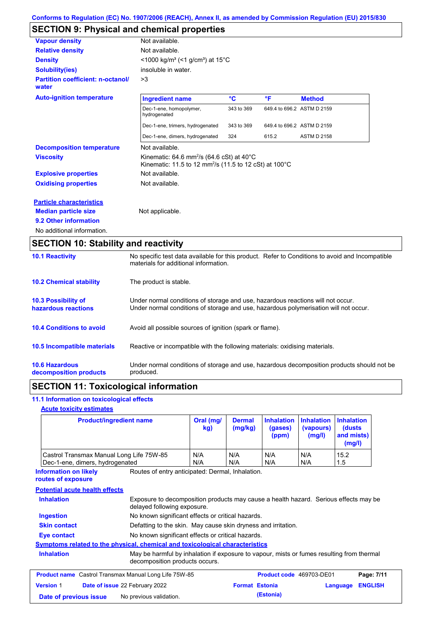## **SECTION 9: Physical and chemical properties**

| <b>Vapour density</b>                             | Not available.                                                                                                                              |            |                            |                    |  |  |  |
|---------------------------------------------------|---------------------------------------------------------------------------------------------------------------------------------------------|------------|----------------------------|--------------------|--|--|--|
| <b>Relative density</b>                           | Not available.                                                                                                                              |            |                            |                    |  |  |  |
| <b>Density</b>                                    | $\leq$ 1000 kg/m <sup>3</sup> (<1 g/cm <sup>3</sup> ) at 15 <sup>°</sup> C                                                                  |            |                            |                    |  |  |  |
| <b>Solubility(ies)</b>                            | insoluble in water.                                                                                                                         |            |                            |                    |  |  |  |
| <b>Partition coefficient: n-octanol/</b><br>water | >3                                                                                                                                          |            |                            |                    |  |  |  |
| <b>Auto-ignition temperature</b>                  | <b>Ingredient name</b>                                                                                                                      | °C         | °F                         | <b>Method</b>      |  |  |  |
|                                                   | Dec-1-ene, homopolymer,<br>hydrogenated                                                                                                     | 343 to 369 | 649.4 to 696.2 ASTM D 2159 |                    |  |  |  |
|                                                   | Dec-1-ene, trimers, hydrogenated                                                                                                            | 343 to 369 | 649.4 to 696.2 ASTM D 2159 |                    |  |  |  |
|                                                   | Dec-1-ene, dimers, hydrogenated                                                                                                             | 324        | 615.2                      | <b>ASTM D 2158</b> |  |  |  |
| <b>Decomposition temperature</b>                  | Not available.                                                                                                                              |            |                            |                    |  |  |  |
| <b>Viscosity</b>                                  | Kinematic: $64.6$ mm <sup>2</sup> /s ( $64.6$ cSt) at $40^{\circ}$ C<br>Kinematic: 11.5 to 12 mm <sup>2</sup> /s (11.5 to 12 cSt) at 100 °C |            |                            |                    |  |  |  |
| <b>Explosive properties</b>                       | Not available.                                                                                                                              |            |                            |                    |  |  |  |
| <b>Oxidising properties</b>                       | Not available.                                                                                                                              |            |                            |                    |  |  |  |
| <b>Particle characteristics</b>                   |                                                                                                                                             |            |                            |                    |  |  |  |
| <b>Median particle size</b>                       | Not applicable.                                                                                                                             |            |                            |                    |  |  |  |
| 9.2 Other information                             |                                                                                                                                             |            |                            |                    |  |  |  |
| No additional information.                        |                                                                                                                                             |            |                            |                    |  |  |  |

| <b>ULUTTURE IV. URUNIIRY AND I CACRIVILY</b>      |                                                                                                                                                                         |
|---------------------------------------------------|-------------------------------------------------------------------------------------------------------------------------------------------------------------------------|
| <b>10.1 Reactivity</b>                            | No specific test data available for this product. Refer to Conditions to avoid and Incompatible<br>materials for additional information.                                |
| <b>10.2 Chemical stability</b>                    | The product is stable.                                                                                                                                                  |
| <b>10.3 Possibility of</b><br>hazardous reactions | Under normal conditions of storage and use, hazardous reactions will not occur.<br>Under normal conditions of storage and use, hazardous polymerisation will not occur. |
| <b>10.4 Conditions to avoid</b>                   | Avoid all possible sources of ignition (spark or flame).                                                                                                                |
| <b>10.5 Incompatible materials</b>                | Reactive or incompatible with the following materials: oxidising materials.                                                                                             |
| <b>10.6 Hazardous</b><br>decomposition products   | Under normal conditions of storage and use, hazardous decomposition products should not be<br>produced.                                                                 |

## **SECTION 11: Toxicological information**

### **11.1 Information on toxicological effects**

#### **Acute toxicity estimates**

| <b>Product/ingredient name</b>           | Oral (mg/<br>kg) | <b>Dermal</b><br>(mg/kg) | (gases)<br>(ppm) | <b>Inhalation Inhalation Inhalation</b><br>(vapours)<br>(mg/l) | (dusts)<br>and mists)<br>(mg/l) |
|------------------------------------------|------------------|--------------------------|------------------|----------------------------------------------------------------|---------------------------------|
| Castrol Transmax Manual Long Life 75W-85 | N/A              | N/A                      | N/A              | N/A                                                            | 15.2                            |
| Dec-1-ene, dimers, hydrogenated          | N/A              | N/A                      | N/A              | N/A                                                            | 1.5                             |

Routes of entry anticipated: Dermal, Inhalation. **Information on likely routes of exposure**

### **Potential acute health effects**

| <b>Inhalation</b>                                            |                                                                                                                             | Exposure to decomposition products may cause a health hazard. Serious effects may be |          |                |
|--------------------------------------------------------------|-----------------------------------------------------------------------------------------------------------------------------|--------------------------------------------------------------------------------------|----------|----------------|
| <b>Ingestion</b>                                             | No known significant effects or critical hazards.                                                                           |                                                                                      |          |                |
| <b>Skin contact</b>                                          | Defatting to the skin. May cause skin dryness and irritation.                                                               |                                                                                      |          |                |
| Eye contact                                                  | No known significant effects or critical hazards.                                                                           |                                                                                      |          |                |
|                                                              | <b>Symptoms related to the physical, chemical and toxicological characteristics</b>                                         |                                                                                      |          |                |
| <b>Inhalation</b>                                            | May be harmful by inhalation if exposure to vapour, mists or fumes resulting from thermal<br>decomposition products occurs. |                                                                                      |          |                |
| <b>Product name</b> Castrol Transmax Manual Long Life 75W-85 |                                                                                                                             | Product code 469703-DE01                                                             |          | Page: 7/11     |
| <b>Version 1</b>                                             | Date of issue 22 February 2022                                                                                              | <b>Format Estonia</b>                                                                | Language | <b>ENGLISH</b> |
| Date of previous issue                                       | No previous validation.                                                                                                     | (Estonia)                                                                            |          |                |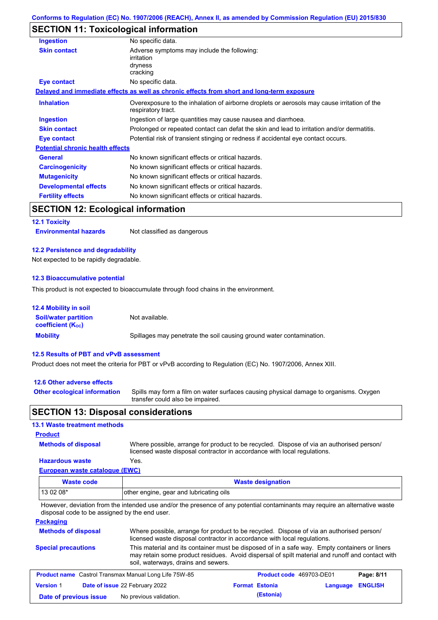### **SECTION 11: Toxicological information**

| <b>Ingestion</b>                        | No specific data.                                                                                                 |
|-----------------------------------------|-------------------------------------------------------------------------------------------------------------------|
| <b>Skin contact</b>                     | Adverse symptoms may include the following:<br>irritation<br>dryness<br>cracking                                  |
| Eye contact                             | No specific data.                                                                                                 |
|                                         | Delayed and immediate effects as well as chronic effects from short and long-term exposure                        |
| <b>Inhalation</b>                       | Overexposure to the inhalation of airborne droplets or aerosols may cause irritation of the<br>respiratory tract. |
| <b>Ingestion</b>                        | Ingestion of large quantities may cause nausea and diarrhoea.                                                     |
| <b>Skin contact</b>                     | Prolonged or repeated contact can defat the skin and lead to irritation and/or dermatitis.                        |
| Eye contact                             | Potential risk of transient stinging or redness if accidental eye contact occurs.                                 |
| <b>Potential chronic health effects</b> |                                                                                                                   |
| <b>General</b>                          | No known significant effects or critical hazards.                                                                 |
| <b>Carcinogenicity</b>                  | No known significant effects or critical hazards.                                                                 |
| <b>Mutagenicity</b>                     | No known significant effects or critical hazards.                                                                 |
| <b>Developmental effects</b>            | No known significant effects or critical hazards.                                                                 |
| <b>Fertility effects</b>                | No known significant effects or critical hazards.                                                                 |

### **SECTION 12: Ecological information**

**12.1 Toxicity**

**Environmental hazards** Not classified as dangerous

#### **12.2 Persistence and degradability**

Not expected to be rapidly degradable.

#### **12.3 Bioaccumulative potential**

This product is not expected to bioaccumulate through food chains in the environment.

| <b>12.4 Mobility in soil</b>                                  |                                                                      |
|---------------------------------------------------------------|----------------------------------------------------------------------|
| <b>Soil/water partition</b><br>coefficient (K <sub>oc</sub> ) | Not available.                                                       |
| <b>Mobility</b>                                               | Spillages may penetrate the soil causing ground water contamination. |

#### **12.5 Results of PBT and vPvB assessment**

Product does not meet the criteria for PBT or vPvB according to Regulation (EC) No. 1907/2006, Annex XIII.

#### **12.6 Other adverse effects**

**Other ecological information**

Spills may form a film on water surfaces causing physical damage to organisms. Oxygen transfer could also be impaired.

### **SECTION 13: Disposal considerations**

#### **13.1 Waste treatment methods Product Methods of disposal** Where possible, arrange for product to be recycled. Dispose of via an authorised person/ licensed waste disposal contractor in accordance with local regulations. **Hazardous waste** Yes. **European waste catalogue (EWC)**  $\overline{1}$ **Waste code Waste designation**

| <b><i>veste coue</i></b>                      | <b><i><u>VYASIY UPSIYIIALIUII</u></i></b>                                                                                                                           |
|-----------------------------------------------|---------------------------------------------------------------------------------------------------------------------------------------------------------------------|
| 13 02 08*                                     | other engine, gear and lubricating oils                                                                                                                             |
| disposal code to be assigned by the end user. | However, deviation from the intended use and/or the presence of any potential contaminants may require an alternative waste                                         |
| <b>Packaging</b>                              |                                                                                                                                                                     |
| <b>Methods of disposal</b>                    | Where possible, arrange for product to be recycled. Dispose of via an authorised person/<br>licensed wests disposed contractor in accordance with local requisions. |

#### **Special precautions** licensed waste disposal contractor in accordance with local regulations. This material and its container must be disposed of in a safe way. Empty containers or liners may retain some product residues. Avoid dispersal of spilt material and runoff and contact with soil, waterways, drains and sewers.

| <b>Product name</b> Castrol Transmax Manual Long Life 75W-85 |  |                                       | Product code 469703-DE01 |                       | Page: 8/11       |  |
|--------------------------------------------------------------|--|---------------------------------------|--------------------------|-----------------------|------------------|--|
| <b>Version 1</b>                                             |  | <b>Date of issue 22 February 2022</b> |                          | <b>Format Estonia</b> | Language ENGLISH |  |
| Date of previous issue                                       |  | No previous validation.               |                          | (Estonia)             |                  |  |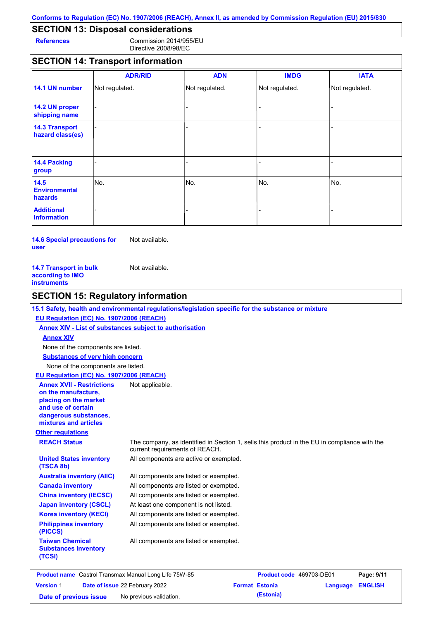### **SECTION 13: Disposal considerations**

**References** Commission 2014/955/EU Directive 2008/98/EC

### **SECTION 14: Transport information**

|                                           | <b>ADR/RID</b> | <b>ADN</b>     | <b>IMDG</b>    | <b>IATA</b>    |
|-------------------------------------------|----------------|----------------|----------------|----------------|
| 14.1 UN number                            | Not regulated. | Not regulated. | Not regulated. | Not regulated. |
| 14.2 UN proper<br>shipping name           |                |                |                |                |
| <b>14.3 Transport</b><br>hazard class(es) |                |                |                |                |
| 14.4 Packing<br>group                     |                |                | -              |                |
| 14.5<br><b>Environmental</b><br>hazards   | No.            | No.            | No.            | No.            |
| <b>Additional</b><br>information          |                |                |                |                |

**14.6 Special precautions for user** Not available.

| <b>14.7 Transport in bulk</b> | Not available. |
|-------------------------------|----------------|
| according to IMO              |                |
| instruments                   |                |

### **SECTION 15: Regulatory information**

#### **15.1 Safety, health and environmental regulations/legislation specific for the substance or mixture**

#### **EU Regulation (EC) No. 1907/2006 (REACH)**

**Annex XIV - List of substances subject to authorisation Substances of very high concern** None of the components are listed. None of the components are listed. **Annex XIV EU Regulation (EC) No. 1907/2006 (REACH)**

#### **Annex XVII - Restrictions**  Not applicable.

**on the manufacture, placing on the market and use of certain dangerous substances, mixtures and articles**

#### **Other regulations**

**(TSCA 8b)**

**(PICCS)**

**(TCSI)**

**Taiwan Chemical Substances Inventory** 

**REACH Status** The company, as identified in Section 1, sells this product in the EU in compliance with the current requirements of REACH. All components are active or exempted.

**United States inventory** 

All components are listed or exempted. All components are listed or exempted. All components are listed or exempted. At least one component is not listed. All components are listed or exempted. All components are listed or exempted. **Australia inventory (AIIC) Canada inventory China inventory (IECSC) Japan inventory (CSCL) Korea inventory (KECI) Philippines inventory** 

All components are listed or exempted.

**Product name** Castrol Transmax Manual Long Life 75W-85 **Product code** 469703-DE01 **Page: 9/11 Version** 1 **Date of issue** 22 February 2022 **Format Estonia Extending Language ENGLISH Date of previous issue** No previous validation. **(Estonia)**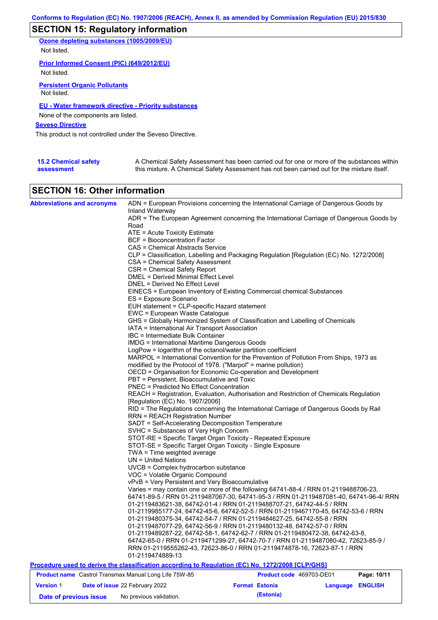## **SECTION 15: Regulatory information**

**Ozone depleting substances (1005/2009/EU)** Not listed.

**Prior Informed Consent (PIC) (649/2012/EU)**

Not listed.

**Persistent Organic Pollutants** Not listed.

### **EU - Water framework directive - Priority substances**

None of the components are listed.

**Seveso Directive**

This product is not controlled under the Seveso Directive.

| <b>15.2 Chemical safety</b> | A Chemical Safety Assessment has been carried out for one or more of the substances within  |
|-----------------------------|---------------------------------------------------------------------------------------------|
| assessment                  | this mixture. A Chemical Safety Assessment has not been carried out for the mixture itself. |

### **SECTION 16: Other information**

| <b>Abbreviations and acronyms</b> | ADN = European Provisions concerning the International Carriage of Dangerous Goods by            |                          |                                                                                          |  |  |  |  |
|-----------------------------------|--------------------------------------------------------------------------------------------------|--------------------------|------------------------------------------------------------------------------------------|--|--|--|--|
|                                   | Inland Waterway                                                                                  |                          |                                                                                          |  |  |  |  |
|                                   |                                                                                                  |                          | ADR = The European Agreement concerning the International Carriage of Dangerous Goods by |  |  |  |  |
|                                   | Road                                                                                             |                          |                                                                                          |  |  |  |  |
|                                   | ATE = Acute Toxicity Estimate<br><b>BCF = Bioconcentration Factor</b>                            |                          |                                                                                          |  |  |  |  |
|                                   |                                                                                                  |                          |                                                                                          |  |  |  |  |
|                                   | CAS = Chemical Abstracts Service                                                                 |                          |                                                                                          |  |  |  |  |
|                                   | CLP = Classification, Labelling and Packaging Regulation [Regulation (EC) No. 1272/2008]         |                          |                                                                                          |  |  |  |  |
|                                   | CSA = Chemical Safety Assessment                                                                 |                          |                                                                                          |  |  |  |  |
|                                   | CSR = Chemical Safety Report                                                                     |                          |                                                                                          |  |  |  |  |
|                                   | DMEL = Derived Minimal Effect Level                                                              |                          |                                                                                          |  |  |  |  |
|                                   | DNEL = Derived No Effect Level                                                                   |                          |                                                                                          |  |  |  |  |
|                                   | EINECS = European Inventory of Existing Commercial chemical Substances                           |                          |                                                                                          |  |  |  |  |
|                                   | ES = Exposure Scenario                                                                           |                          |                                                                                          |  |  |  |  |
|                                   | EUH statement = CLP-specific Hazard statement                                                    |                          |                                                                                          |  |  |  |  |
|                                   | EWC = European Waste Catalogue                                                                   |                          |                                                                                          |  |  |  |  |
|                                   | GHS = Globally Harmonized System of Classification and Labelling of Chemicals                    |                          |                                                                                          |  |  |  |  |
|                                   | IATA = International Air Transport Association                                                   |                          |                                                                                          |  |  |  |  |
|                                   | IBC = Intermediate Bulk Container                                                                |                          |                                                                                          |  |  |  |  |
|                                   | <b>IMDG</b> = International Maritime Dangerous Goods                                             |                          |                                                                                          |  |  |  |  |
|                                   | LogPow = logarithm of the octanol/water partition coefficient                                    |                          |                                                                                          |  |  |  |  |
|                                   | MARPOL = International Convention for the Prevention of Pollution From Ships, 1973 as            |                          |                                                                                          |  |  |  |  |
|                                   | modified by the Protocol of 1978. ("Marpol" = marine pollution)                                  |                          |                                                                                          |  |  |  |  |
|                                   | OECD = Organisation for Economic Co-operation and Development                                    |                          |                                                                                          |  |  |  |  |
|                                   | PBT = Persistent, Bioaccumulative and Toxic                                                      |                          |                                                                                          |  |  |  |  |
|                                   | PNEC = Predicted No Effect Concentration                                                         |                          |                                                                                          |  |  |  |  |
|                                   | REACH = Registration, Evaluation, Authorisation and Restriction of Chemicals Regulation          |                          |                                                                                          |  |  |  |  |
|                                   | [Regulation (EC) No. 1907/2006]                                                                  |                          |                                                                                          |  |  |  |  |
|                                   | RID = The Regulations concerning the International Carriage of Dangerous Goods by Rail           |                          |                                                                                          |  |  |  |  |
|                                   | <b>RRN = REACH Registration Number</b>                                                           |                          |                                                                                          |  |  |  |  |
|                                   | SADT = Self-Accelerating Decomposition Temperature                                               |                          |                                                                                          |  |  |  |  |
|                                   | SVHC = Substances of Very High Concern                                                           |                          |                                                                                          |  |  |  |  |
|                                   | STOT-RE = Specific Target Organ Toxicity - Repeated Exposure                                     |                          |                                                                                          |  |  |  |  |
|                                   | STOT-SE = Specific Target Organ Toxicity - Single Exposure                                       |                          |                                                                                          |  |  |  |  |
|                                   | $TWA = Time weighted average$                                                                    |                          |                                                                                          |  |  |  |  |
|                                   | $UN = United Nations$                                                                            |                          |                                                                                          |  |  |  |  |
|                                   | UVCB = Complex hydrocarbon substance                                                             |                          |                                                                                          |  |  |  |  |
|                                   | VOC = Volatile Organic Compound                                                                  |                          |                                                                                          |  |  |  |  |
|                                   | vPvB = Very Persistent and Very Bioaccumulative                                                  |                          |                                                                                          |  |  |  |  |
|                                   | Varies = may contain one or more of the following 64741-88-4 / RRN 01-2119488706-23,             |                          |                                                                                          |  |  |  |  |
|                                   |                                                                                                  |                          | 64741-89-5 / RRN 01-2119487067-30, 64741-95-3 / RRN 01-2119487081-40, 64741-96-4/ RRN    |  |  |  |  |
|                                   | 01-2119483621-38, 64742-01-4 / RRN 01-2119488707-21, 64742-44-5 / RRN                            |                          |                                                                                          |  |  |  |  |
|                                   | 01-2119985177-24, 64742-45-6, 64742-52-5 / RRN 01-2119467170-45, 64742-53-6 / RRN                |                          |                                                                                          |  |  |  |  |
|                                   | 01-2119480375-34, 64742-54-7 / RRN 01-2119484627-25, 64742-55-8 / RRN                            |                          |                                                                                          |  |  |  |  |
|                                   | 01-2119487077-29, 64742-56-9 / RRN 01-2119480132-48, 64742-57-0 / RRN                            |                          |                                                                                          |  |  |  |  |
|                                   | 01-2119489287-22, 64742-58-1, 64742-62-7 / RRN 01-2119480472-38, 64742-63-8,                     |                          |                                                                                          |  |  |  |  |
|                                   | 64742-65-0 / RRN 01-2119471299-27, 64742-70-7 / RRN 01-2119487080-42, 72623-85-9 /               |                          |                                                                                          |  |  |  |  |
|                                   | RRN 01-2119555262-43, 72623-86-0 / RRN 01-2119474878-16, 72623-87-1 / RRN                        |                          |                                                                                          |  |  |  |  |
|                                   | 01-2119474889-13                                                                                 |                          |                                                                                          |  |  |  |  |
|                                   | Procedure used to derive the classification according to Regulation (EC) No. 1272/2008 [CLP/GHS] |                          |                                                                                          |  |  |  |  |
|                                   | <b>Product name</b> Castrol Transmax Manual Long Life 75W-85                                     | Product code 469703-DE01 | Page: 10/11                                                                              |  |  |  |  |
| <b>Version 1</b>                  | Date of issue 22 February 2022                                                                   | <b>Format Estonia</b>    | <b>ENGLISH</b><br><b>Language</b>                                                        |  |  |  |  |

**Date of previous issue** No previous validation. **(Estonia)**